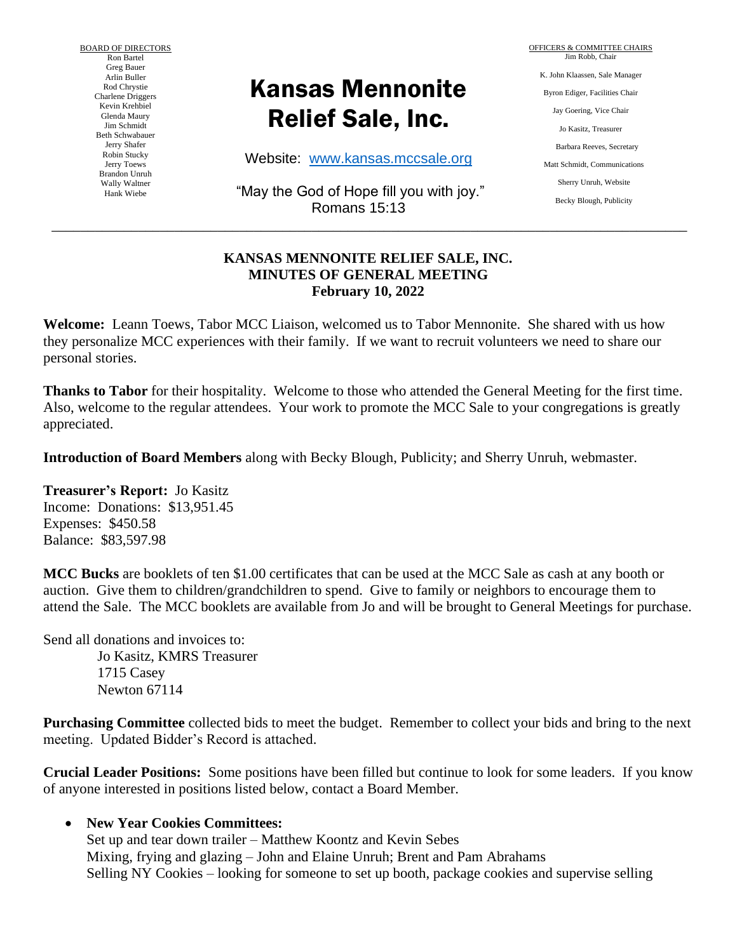BOARD OF DIRECTORS Ron Bartel Greg Bauer Arlin Buller Rod Chrystie Charlene Driggers Kevin Krehbiel Glenda Maury Jim Schmidt Beth Schwabauer Jerry Shafer Robin Stucky Jerry Toews Brandon Unruh Wally Waltner Hank Wiebe

# Kansas Mennonite Relief Sale, Inc.

Website: [www.kansas.mccsale.org](http://www.kansas.mccsale.org/)

"May the God of Hope fill you with joy." Romans 15:13

\_\_\_\_\_\_\_\_\_\_\_\_\_\_\_\_\_\_\_\_\_\_\_\_\_\_\_\_\_\_\_\_\_\_\_\_\_\_\_\_\_\_\_\_\_\_\_\_\_\_\_\_\_\_\_\_\_\_\_\_\_\_\_\_\_\_\_\_\_\_\_\_\_\_\_\_\_\_\_\_\_\_\_\_\_\_\_\_

OFFICERS & COMMITTEE CHAIRS Jim Robb, Chair K. John Klaassen, Sale Manager Byron Ediger, Facilities Chair Jay Goering, Vice Chair Jo Kasitz, Treasurer Barbara Reeves, Secretary Matt Schmidt, Communications Sherry Unruh, Website Becky Blough, Publicity

#### **KANSAS MENNONITE RELIEF SALE, INC. MINUTES OF GENERAL MEETING February 10, 2022**

**Welcome:** Leann Toews, Tabor MCC Liaison, welcomed us to Tabor Mennonite. She shared with us how they personalize MCC experiences with their family. If we want to recruit volunteers we need to share our personal stories.

**Thanks to Tabor** for their hospitality. Welcome to those who attended the General Meeting for the first time. Also, welcome to the regular attendees. Your work to promote the MCC Sale to your congregations is greatly appreciated.

**Introduction of Board Members** along with Becky Blough, Publicity; and Sherry Unruh, webmaster.

**Treasurer's Report:** Jo Kasitz Income: Donations: \$13,951.45 Expenses: \$450.58 Balance: \$83,597.98

**MCC Bucks** are booklets of ten \$1.00 certificates that can be used at the MCC Sale as cash at any booth or auction. Give them to children/grandchildren to spend. Give to family or neighbors to encourage them to attend the Sale. The MCC booklets are available from Jo and will be brought to General Meetings for purchase.

Send all donations and invoices to:

Jo Kasitz, KMRS Treasurer 1715 Casey Newton 67114

**Purchasing Committee** collected bids to meet the budget. Remember to collect your bids and bring to the next meeting. Updated Bidder's Record is attached.

**Crucial Leader Positions:** Some positions have been filled but continue to look for some leaders. If you know of anyone interested in positions listed below, contact a Board Member.

## • **New Year Cookies Committees:**

Set up and tear down trailer – Matthew Koontz and Kevin Sebes Mixing, frying and glazing – John and Elaine Unruh; Brent and Pam Abrahams Selling NY Cookies – looking for someone to set up booth, package cookies and supervise selling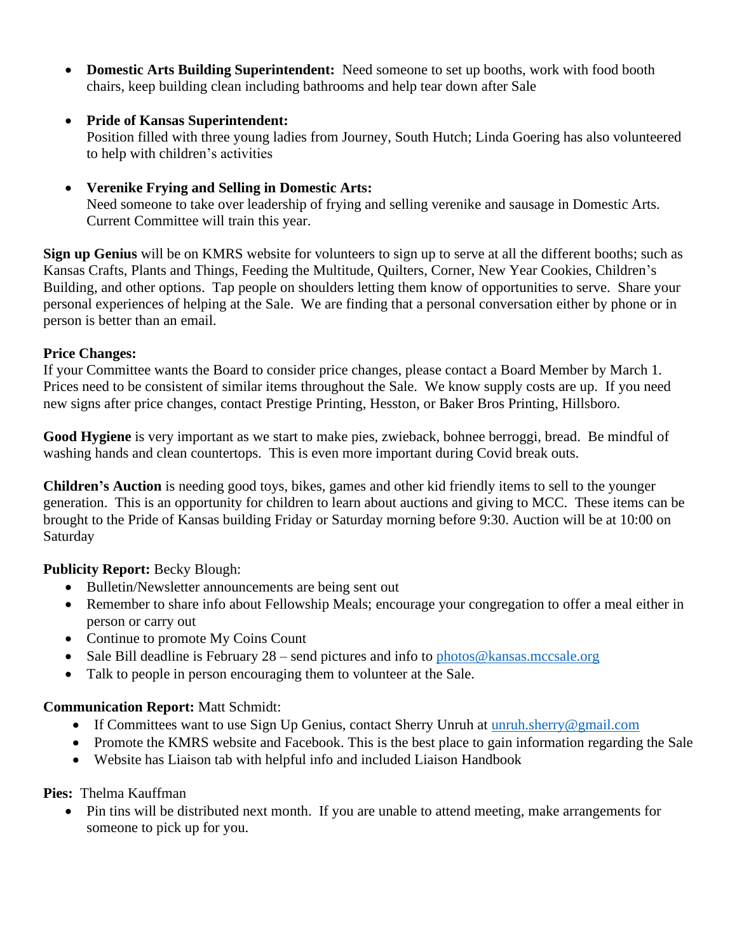- **Domestic Arts Building Superintendent:** Need someone to set up booths, work with food booth chairs, keep building clean including bathrooms and help tear down after Sale
- **Pride of Kansas Superintendent:**

Position filled with three young ladies from Journey, South Hutch; Linda Goering has also volunteered to help with children's activities

• **Verenike Frying and Selling in Domestic Arts:**

Need someone to take over leadership of frying and selling verenike and sausage in Domestic Arts. Current Committee will train this year.

**Sign up Genius** will be on KMRS website for volunteers to sign up to serve at all the different booths; such as Kansas Crafts, Plants and Things, Feeding the Multitude, Quilters, Corner, New Year Cookies, Children's Building, and other options. Tap people on shoulders letting them know of opportunities to serve. Share your personal experiences of helping at the Sale. We are finding that a personal conversation either by phone or in person is better than an email.

## **Price Changes:**

If your Committee wants the Board to consider price changes, please contact a Board Member by March 1. Prices need to be consistent of similar items throughout the Sale. We know supply costs are up. If you need new signs after price changes, contact Prestige Printing, Hesston, or Baker Bros Printing, Hillsboro.

**Good Hygiene** is very important as we start to make pies, zwieback, bohnee berroggi, bread. Be mindful of washing hands and clean countertops. This is even more important during Covid break outs.

**Children's Auction** is needing good toys, bikes, games and other kid friendly items to sell to the younger generation. This is an opportunity for children to learn about auctions and giving to MCC. These items can be brought to the Pride of Kansas building Friday or Saturday morning before 9:30. Auction will be at 10:00 on **Saturday** 

# **Publicity Report:** Becky Blough:

- Bulletin/Newsletter announcements are being sent out
- Remember to share info about Fellowship Meals; encourage your congregation to offer a meal either in person or carry out
- Continue to promote My Coins Count
- Sale Bill deadline is February  $28$  send pictures and info to [photos@kansas.mccsale.org](mailto:photos@kansas.mccsale.org)
- Talk to people in person encouraging them to volunteer at the Sale.

# **Communication Report:** Matt Schmidt:

- If Committees want to use Sign Up Genius, contact Sherry Unruh at unruh.sherry@gmail.com
- Promote the KMRS website and Facebook. This is the best place to gain information regarding the Sale
- Website has Liaison tab with helpful info and included Liaison Handbook

## **Pies:** Thelma Kauffman

• Pin tins will be distributed next month. If you are unable to attend meeting, make arrangements for someone to pick up for you.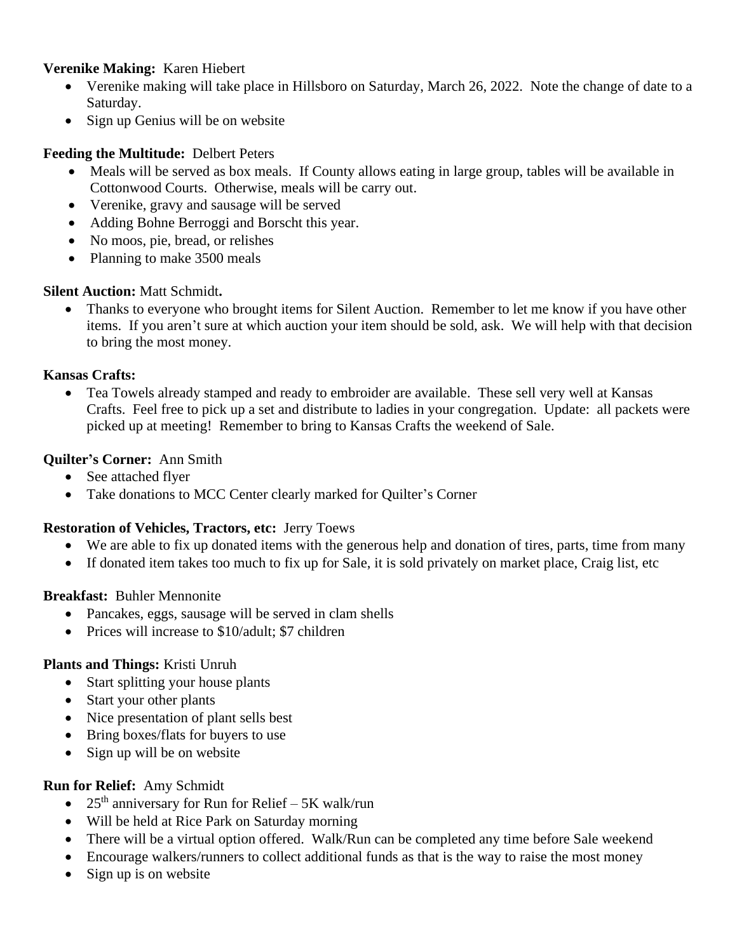## **Verenike Making:** Karen Hiebert

- Verenike making will take place in Hillsboro on Saturday, March 26, 2022. Note the change of date to a Saturday.
- Sign up Genius will be on website

## **Feeding the Multitude:** Delbert Peters

- Meals will be served as box meals. If County allows eating in large group, tables will be available in Cottonwood Courts. Otherwise, meals will be carry out.
- Verenike, gravy and sausage will be served
- Adding Bohne Berroggi and Borscht this year.
- No moos, pie, bread, or relishes
- Planning to make 3500 meals

## **Silent Auction:** Matt Schmidt**.**

• Thanks to everyone who brought items for Silent Auction. Remember to let me know if you have other items. If you aren't sure at which auction your item should be sold, ask. We will help with that decision to bring the most money.

## **Kansas Crafts:**

• Tea Towels already stamped and ready to embroider are available. These sell very well at Kansas Crafts. Feel free to pick up a set and distribute to ladies in your congregation. Update: all packets were picked up at meeting! Remember to bring to Kansas Crafts the weekend of Sale.

## **Quilter's Corner:** Ann Smith

- See attached flyer
- Take donations to MCC Center clearly marked for Quilter's Corner

## **Restoration of Vehicles, Tractors, etc:** Jerry Toews

- We are able to fix up donated items with the generous help and donation of tires, parts, time from many
- If donated item takes too much to fix up for Sale, it is sold privately on market place, Craig list, etc

## **Breakfast:** Buhler Mennonite

- Pancakes, eggs, sausage will be served in clam shells
- Prices will increase to \$10/adult; \$7 children

## **Plants and Things:** Kristi Unruh

- Start splitting your house plants
- Start your other plants
- Nice presentation of plant sells best
- Bring boxes/flats for buyers to use
- Sign up will be on website

## **Run for Relief:** Amy Schmidt

- 25<sup>th</sup> anniversary for Run for Relief 5K walk/run
- Will be held at Rice Park on Saturday morning
- There will be a virtual option offered. Walk/Run can be completed any time before Sale weekend
- Encourage walkers/runners to collect additional funds as that is the way to raise the most money
- Sign up is on website